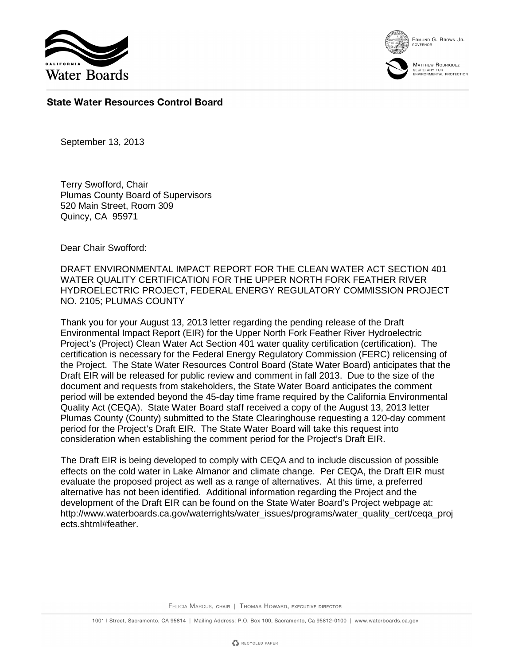

EDMUND G. BROWN JR.



MATTHEW RODRIQUEZ SECRETARY FOR<br>ENVIRONMENTAL PROTECTION

## **State Water Resources Control Board**

September 13, 2013

Terry Swofford, Chair Plumas County Board of Supervisors 520 Main Street, Room 309 Quincy, CA 95971

Dear Chair Swofford:

DRAFT ENVIRONMENTAL IMPACT REPORT FOR THE CLEAN WATER ACT SECTION 401 WATER QUALITY CERTIFICATION FOR THE UPPER NORTH FORK FEATHER RIVER HYDROELECTRIC PROJECT, FEDERAL ENERGY REGULATORY COMMISSION PROJECT NO. 2105; PLUMAS COUNTY

Thank you for your August 13, 2013 letter regarding the pending release of the Draft Environmental Impact Report (EIR) for the Upper North Fork Feather River Hydroelectric Project's (Project) Clean Water Act Section 401 water quality certification (certification). The certification is necessary for the Federal Energy Regulatory Commission (FERC) relicensing of the Project. The State Water Resources Control Board (State Water Board) anticipates that the Draft EIR will be released for public review and comment in fall 2013. Due to the size of the document and requests from stakeholders, the State Water Board anticipates the comment period will be extended beyond the 45-day time frame required by the California Environmental Quality Act (CEQA). State Water Board staff received a copy of the August 13, 2013 letter Plumas County (County) submitted to the State Clearinghouse requesting a 120-day comment period for the Project's Draft EIR. The State Water Board will take this request into consideration when establishing the comment period for the Project's Draft EIR.

The Draft EIR is being developed to comply with CEQA and to include discussion of possible effects on the cold water in Lake Almanor and climate change. Per CEQA, the Draft EIR must evaluate the proposed project as well as a range of alternatives. At this time, a preferred alternative has not been identified. Additional information regarding the Project and the development of the Draft EIR can be found on the State Water Board's Project webpage at: http://www.waterboards.ca.gov/waterrights/water\_issues/programs/water\_quality\_cert/ceqa\_proj ects.shtml#feather.

FELICIA MARCUS, CHAIR | THOMAS HOWARD, EXECUTIVE DIRECTOR